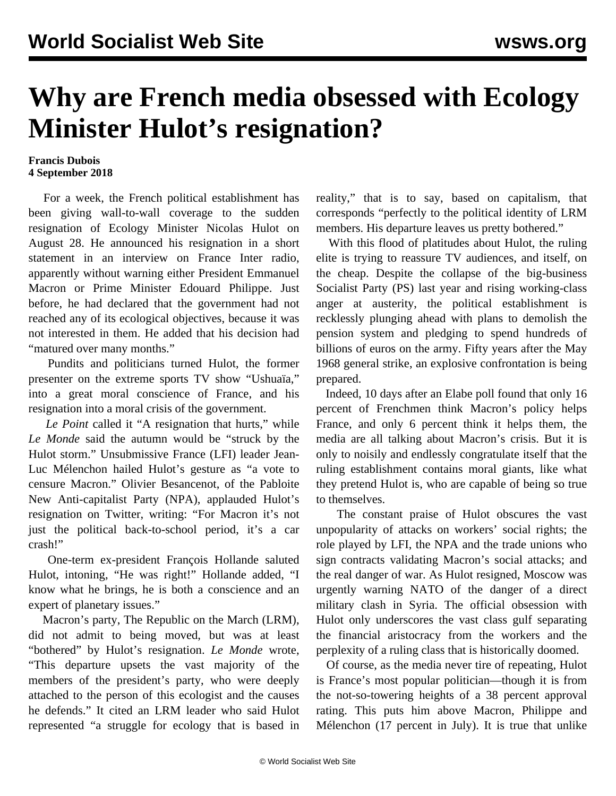## **Why are French media obsessed with Ecology Minister Hulot's resignation?**

## **Francis Dubois 4 September 2018**

 For a week, the French political establishment has been giving wall-to-wall coverage to the sudden resignation of Ecology Minister Nicolas Hulot on August 28. He announced his resignation in a short statement in an interview on France Inter radio, apparently without warning either President Emmanuel Macron or Prime Minister Edouard Philippe. Just before, he had declared that the government had not reached any of its ecological objectives, because it was not interested in them. He added that his decision had "matured over many months."

 Pundits and politicians turned Hulot, the former presenter on the extreme sports TV show "Ushuaïa," into a great moral conscience of France, and his resignation into a moral crisis of the government.

 *Le Point* called it "A resignation that hurts," while *Le Monde* said the autumn would be "struck by the Hulot storm." Unsubmissive France (LFI) leader Jean-Luc Mélenchon hailed Hulot's gesture as "a vote to censure Macron." Olivier Besancenot, of the Pabloite New Anti-capitalist Party (NPA), applauded Hulot's resignation on Twitter, writing: "For Macron it's not just the political back-to-school period, it's a car crash!"

 One-term ex-president François Hollande saluted Hulot, intoning, "He was right!" Hollande added, "I know what he brings, he is both a conscience and an expert of planetary issues."

 Macron's party, The Republic on the March (LRM), did not admit to being moved, but was at least "bothered" by Hulot's resignation. *Le Monde* wrote, "This departure upsets the vast majority of the members of the president's party, who were deeply attached to the person of this ecologist and the causes he defends." It cited an LRM leader who said Hulot represented "a struggle for ecology that is based in reality," that is to say, based on capitalism, that corresponds "perfectly to the political identity of LRM members. His departure leaves us pretty bothered."

 With this flood of platitudes about Hulot, the ruling elite is trying to reassure TV audiences, and itself, on the cheap. Despite the collapse of the big-business Socialist Party (PS) last year and rising working-class anger at austerity, the political establishment is recklessly plunging ahead with plans to demolish the pension system and pledging to spend hundreds of billions of euros on the army. Fifty years after the May 1968 general strike, an explosive confrontation is being prepared.

 Indeed, 10 days after an Elabe poll found that only 16 percent of Frenchmen think Macron's policy helps France, and only 6 percent think it helps them, the media are all talking about Macron's crisis. But it is only to noisily and endlessly congratulate itself that the ruling establishment contains moral giants, like what they pretend Hulot is, who are capable of being so true to themselves.

 The constant praise of Hulot obscures the vast unpopularity of attacks on workers' social rights; the role played by LFI, the NPA and the trade unions who sign contracts validating Macron's social attacks; and the real danger of war. As Hulot resigned, Moscow was urgently warning NATO of the danger of a direct military clash in Syria. The official obsession with Hulot only underscores the vast class gulf separating the financial aristocracy from the workers and the perplexity of a ruling class that is historically doomed.

 Of course, as the media never tire of repeating, Hulot is France's most popular politician—though it is from the not-so-towering heights of a 38 percent approval rating. This puts him above Macron, Philippe and Mélenchon (17 percent in July). It is true that unlike